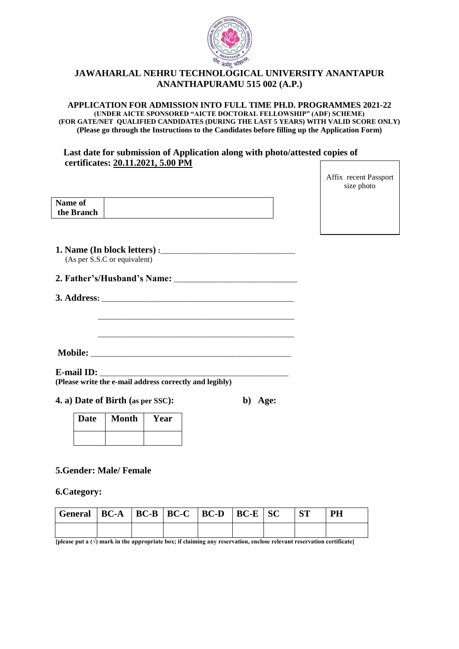

# **JAWAHARLAL NEHRU TECHNOLOGICAL UNIVERSITY ANANTAPUR ANANTHAPURAMU 515 002 (A.P.)**

**APPLICATION FOR ADMISSION INTO FULL TIME PH.D. PROGRAMMES 2021-22 (UNDER AICTE SPONSORED "AICTE DOCTORAL FELLOWSHIP" (ADF) SCHEME) (FOR GATE/NET QUALIFIED CANDIDATES (DURING THE LAST 5 YEARS) WITH VALID SCORE ONLY) (Please go through the Instructions to the Candidates before filling up the Application Form)**

### **Last date for submission of Application along with photo/attested copies of certificates: 20.11.2021, 5.00 PM**

Affix recent Passport size photo

| Name of    |  |
|------------|--|
| the Branch |  |
|            |  |

**1. Name (In block letters) :**\_\_\_\_\_\_\_\_\_\_\_\_\_\_\_\_\_\_\_\_\_\_\_\_\_\_\_\_\_\_\_\_\_\_\_ (As per S.S.C or equivalent)

| 2. Father's/Husband's Name: |  |
|-----------------------------|--|
|-----------------------------|--|

\_\_\_\_\_\_\_\_\_\_\_\_\_\_\_\_\_\_\_\_\_\_\_\_\_\_\_\_\_\_\_\_\_\_\_\_\_\_\_\_\_\_\_\_\_\_\_\_\_\_\_

\_\_\_\_\_\_\_\_\_\_\_\_\_\_\_\_\_\_\_\_\_\_\_\_\_\_\_\_\_\_\_\_\_\_\_\_\_\_\_\_\_\_\_\_\_\_\_\_\_\_\_

| 3. Address: |  |
|-------------|--|
|             |  |

**Mobile:** \_\_\_\_\_\_\_\_\_\_\_\_\_\_\_\_\_\_\_\_\_\_\_\_\_\_\_\_\_\_\_\_\_\_\_\_\_\_\_\_\_\_\_\_\_\_\_\_\_\_\_\_

**E-mail ID:** \_\_\_\_\_\_\_\_\_\_\_\_\_\_\_\_\_\_\_\_\_\_\_\_\_\_\_\_\_\_\_\_\_\_\_\_\_\_\_\_\_\_\_\_\_\_\_\_\_ **(Please write the e-mail address correctly and legibly)**

**4. a) Date of Birth (as per SSC): b) Age:** 

| Date | <b>Month</b> | Year |
|------|--------------|------|
|      |              |      |

# **5.Gender: Male/ Female**

**6.Category:**

| General   BC-A   BC-B   BC-C   BC-D   BC-E   SC |  |  |  | <b>ST</b> | <b>PH</b> |
|-------------------------------------------------|--|--|--|-----------|-----------|
|                                                 |  |  |  |           |           |

**[please put a (√) mark in the appropriate box; if claiming any reservation, enclose relevant reservation certificate]**